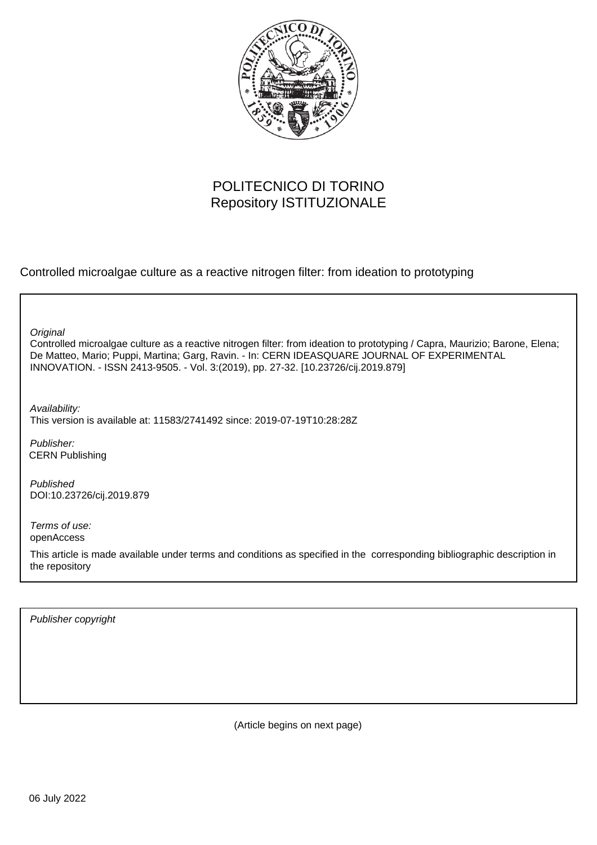

# POLITECNICO DI TORINO Repository ISTITUZIONALE

Controlled microalgae culture as a reactive nitrogen filter: from ideation to prototyping

**Original** 

Controlled microalgae culture as a reactive nitrogen filter: from ideation to prototyping / Capra, Maurizio; Barone, Elena; De Matteo, Mario; Puppi, Martina; Garg, Ravin. - In: CERN IDEASQUARE JOURNAL OF EXPERIMENTAL INNOVATION. - ISSN 2413-9505. - Vol. 3:(2019), pp. 27-32. [10.23726/cij.2019.879]

Availability: This version is available at: 11583/2741492 since: 2019-07-19T10:28:28Z

Publisher: CERN Publishing

Published DOI:10.23726/cij.2019.879

Terms of use: openAccess

This article is made available under terms and conditions as specified in the corresponding bibliographic description in the repository

Publisher copyright

(Article begins on next page)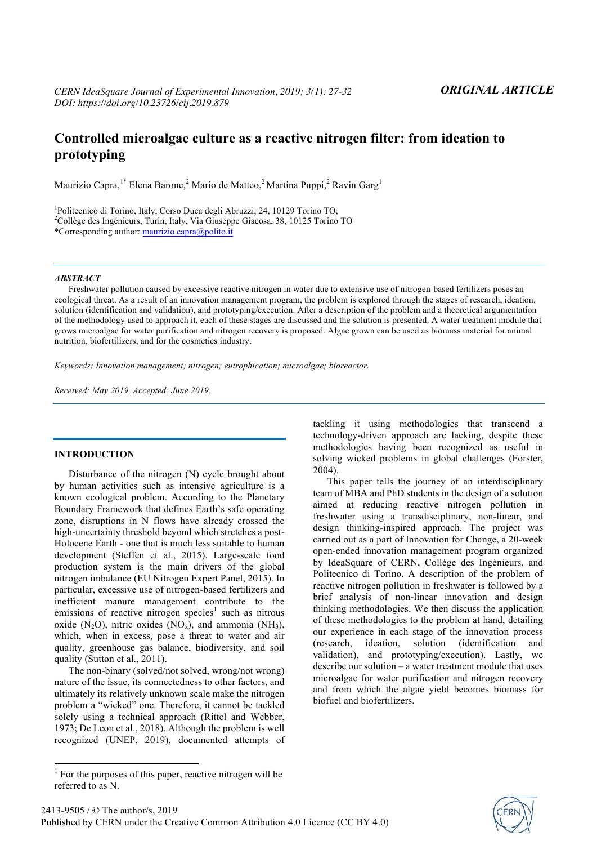## **Controlled microalgae culture as a reactive nitrogen filter: from ideation to prototyping**

Maurizio Capra,<sup>1\*</sup> Elena Barone,<sup>2</sup> Mario de Matteo,<sup>2</sup> Martina Puppi,<sup>2</sup> Ravin Garg<sup>1</sup>

<sup>1</sup>Politecnico di Torino, Italy, Corso Duca degli Abruzzi, 24, 10129 Torino TO;<br><sup>2</sup>Collège des Ingénieurs, Turin, Italy, Vie Giuseppe Gisegge, 28, 10125 Torino <sup>2</sup>Collège des Ingénieurs, Turin, Italy, Via Giuseppe Giacosa, 38, 10125 Torino TO

\*Corresponding author: maurizio.capra@polito.it

#### *ABSTRACT*

Freshwater pollution caused by excessive reactive nitrogen in water due to extensive use of nitrogen-based fertilizers poses an ecological threat. As a result of an innovation management program, the problem is explored through the stages of research, ideation, solution (identification and validation), and prototyping/execution. After a description of the problem and a theoretical argumentation of the methodology used to approach it, each of these stages are discussed and the solution is presented. A water treatment module that grows microalgae for water purification and nitrogen recovery is proposed. Algae grown can be used as biomass material for animal nutrition, biofertilizers, and for the cosmetics industry.

*Keywords: Innovation management; nitrogen; eutrophication; microalgae; bioreactor.*

*Received: May 2019. Accepted: June 2019.*

### **INTRODUCTION**

Disturbance of the nitrogen (N) cycle brought about by human activities such as intensive agriculture is a known ecological problem. According to the Planetary Boundary Framework that defines Earth's safe operating zone, disruptions in N flows have already crossed the high-uncertainty threshold beyond which stretches a post-Holocene Earth - one that is much less suitable to human development (Steffen et al., 2015). Large-scale food production system is the main drivers of the global nitrogen imbalance (EU Nitrogen Expert Panel, 2015). In particular, excessive use of nitrogen-based fertilizers and inefficient manure management contribute to the emissions of reactive nitrogen species<sup>1</sup> such as nitrous oxide  $(N_2O)$ , nitric oxides  $(NO_x)$ , and ammonia  $(NH_3)$ , which, when in excess, pose a threat to water and air quality, greenhouse gas balance, biodiversity, and soil quality (Sutton et al., 2011).

The non-binary (solved/not solved, wrong/not wrong) nature of the issue, its connectedness to other factors, and ultimately its relatively unknown scale make the nitrogen problem a "wicked" one. Therefore, it cannot be tackled solely using a technical approach (Rittel and Webber, 1973; De Leon et al., 2018). Although the problem is well recognized (UNEP, 2019), documented attempts of

This paper tells the journey of an interdisciplinary team of MBA and PhD students in the design of a solution aimed at reducing reactive nitrogen pollution in freshwater using a transdisciplinary, non-linear, and design thinking-inspired approach. The project was carried out as a part of Innovation for Change, a 20-week open-ended innovation management program organized by IdeaSquare of CERN, Collége des Ingènieurs, and Politecnico di Torino. A description of the problem of reactive nitrogen pollution in freshwater is followed by a brief analysis of non-linear innovation and design thinking methodologies. We then discuss the application of these methodologies to the problem at hand, detailing our experience in each stage of the innovation process (research, ideation, solution (identification and validation), and prototyping/execution). Lastly, we describe our solution – a water treatment module that uses microalgae for water purification and nitrogen recovery and from which the algae yield becomes biomass for biofuel and biofertilizers.



tackling it using methodologies that transcend a technology-driven approach are lacking, despite these methodologies having been recognized as useful in solving wicked problems in global challenges (Forster, 2004).

 $1$  For the purposes of this paper, reactive nitrogen will be referred to as N.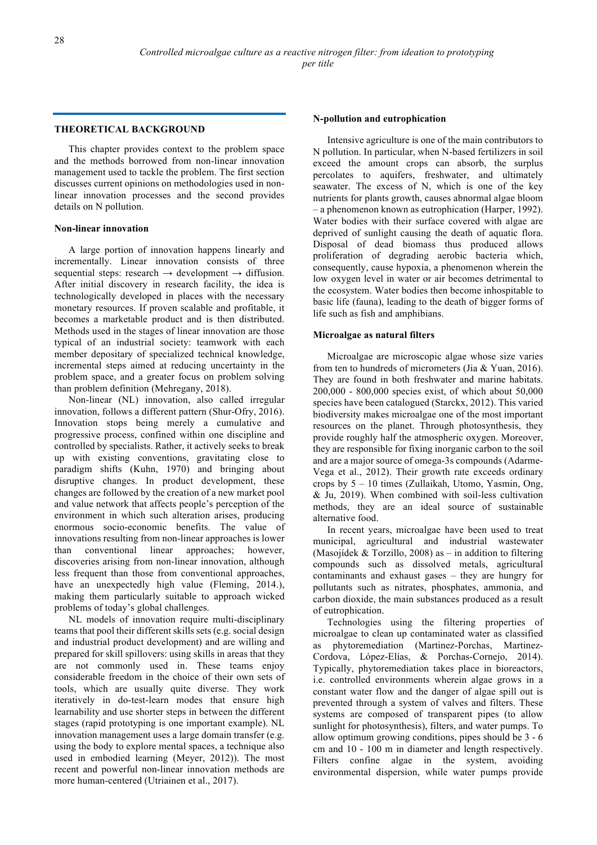## **THEORETICAL BACKGROUND**

This chapter provides context to the problem space and the methods borrowed from non-linear innovation management used to tackle the problem. The first section discusses current opinions on methodologies used in nonlinear innovation processes and the second provides details on N pollution.

## **Non-linear innovation**

A large portion of innovation happens linearly and incrementally. Linear innovation consists of three sequential steps: research  $\rightarrow$  development  $\rightarrow$  diffusion. After initial discovery in research facility, the idea is technologically developed in places with the necessary monetary resources. If proven scalable and profitable, it becomes a marketable product and is then distributed. Methods used in the stages of linear innovation are those typical of an industrial society: teamwork with each member depositary of specialized technical knowledge, incremental steps aimed at reducing uncertainty in the problem space, and a greater focus on problem solving than problem definition (Mehregany, 2018).

Non-linear (NL) innovation, also called irregular innovation, follows a different pattern (Shur-Ofry, 2016). Innovation stops being merely a cumulative and progressive process, confined within one discipline and controlled by specialists. Rather, it actively seeks to break up with existing conventions, gravitating close to paradigm shifts (Kuhn, 1970) and bringing about disruptive changes. In product development, these changes are followed by the creation of a new market pool and value network that affects people's perception of the environment in which such alteration arises, producing enormous socio-economic benefits. The value of innovations resulting from non-linear approaches is lower than conventional linear approaches; however, discoveries arising from non-linear innovation, although less frequent than those from conventional approaches, have an unexpectedly high value (Fleming, 2014.), making them particularly suitable to approach wicked problems of today's global challenges.

NL models of innovation require multi-disciplinary teams that pool their different skills sets (e.g. social design and industrial product development) and are willing and prepared for skill spillovers: using skills in areas that they are not commonly used in. These teams enjoy considerable freedom in the choice of their own sets of tools, which are usually quite diverse. They work iteratively in do-test-learn modes that ensure high learnability and use shorter steps in between the different stages (rapid prototyping is one important example). NL innovation management uses a large domain transfer (e.g. using the body to explore mental spaces, a technique also used in embodied learning (Meyer, 2012)). The most recent and powerful non-linear innovation methods are more human-centered (Utriainen et al., 2017).

#### **N-pollution and eutrophication**

Intensive agriculture is one of the main contributors to N pollution. In particular, when N-based fertilizers in soil exceed the amount crops can absorb, the surplus percolates to aquifers, freshwater, and ultimately seawater. The excess of N, which is one of the key nutrients for plants growth, causes abnormal algae bloom – a phenomenon known as eutrophication (Harper, 1992). Water bodies with their surface covered with algae are deprived of sunlight causing the death of aquatic flora. Disposal of dead biomass thus produced allows proliferation of degrading aerobic bacteria which, consequently, cause hypoxia, a phenomenon wherein the low oxygen level in water or air becomes detrimental to the ecosystem. Water bodies then become inhospitable to basic life (fauna), leading to the death of bigger forms of life such as fish and amphibians.

### **Microalgae as natural filters**

Microalgae are microscopic algae whose size varies from ten to hundreds of micrometers (Jia & Yuan, 2016). They are found in both freshwater and marine habitats. 200,000 - 800,000 species exist, of which about 50,000 species have been catalogued (Starckx, 2012). This varied biodiversity makes microalgae one of the most important resources on the planet. Through photosynthesis, they provide roughly half the atmospheric oxygen. Moreover, they are responsible for fixing inorganic carbon to the soil and are a major source of omega-3s compounds (Adarme-Vega et al., 2012). Their growth rate exceeds ordinary crops by 5 – 10 times (Zullaikah, Utomo, Yasmin, Ong, & Ju, 2019). When combined with soil-less cultivation methods, they are an ideal source of sustainable alternative food.

In recent years, microalgae have been used to treat municipal, agricultural and industrial wastewater (Masojídek & Torzillo, 2008) as – in addition to filtering compounds such as dissolved metals, agricultural contaminants and exhaust gases – they are hungry for pollutants such as nitrates, phosphates, ammonia, and carbon dioxide, the main substances produced as a result of eutrophication.

Technologies using the filtering properties of microalgae to clean up contaminated water as classified as phytoremediation (Martinez-Porchas, Martinez-Cordova, López-Elías, & Porchas-Cornejo, 2014). Typically, phytoremediation takes place in bioreactors, i.e. controlled environments wherein algae grows in a constant water flow and the danger of algae spill out is prevented through a system of valves and filters. These systems are composed of transparent pipes (to allow sunlight for photosynthesis), filters, and water pumps. To allow optimum growing conditions, pipes should be 3 - 6 cm and 10 - 100 m in diameter and length respectively. Filters confine algae in the system, avoiding environmental dispersion, while water pumps provide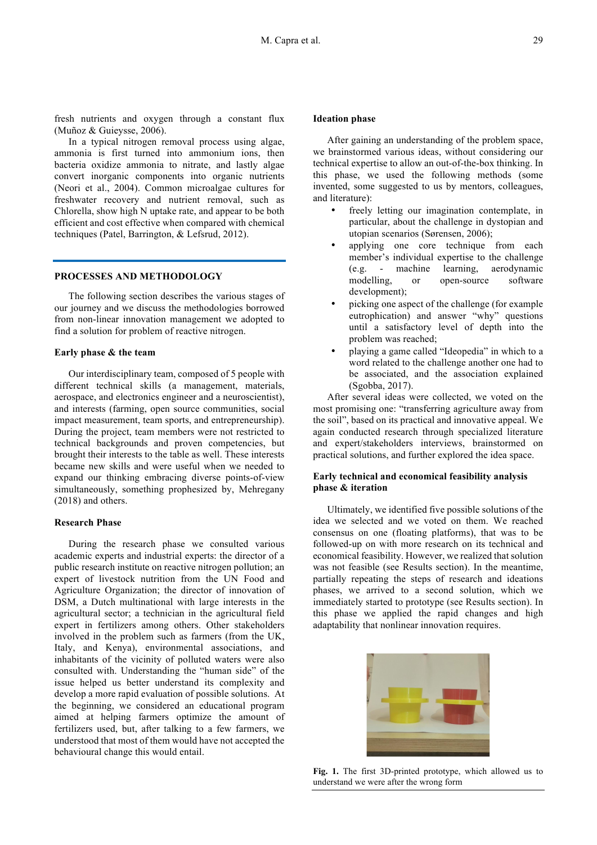fresh nutrients and oxygen through a constant flux (Muñoz & Guieysse, 2006).

In a typical nitrogen removal process using algae, ammonia is first turned into ammonium ions, then bacteria oxidize ammonia to nitrate, and lastly algae convert inorganic components into organic nutrients (Neori et al., 2004). Common microalgae cultures for freshwater recovery and nutrient removal, such as Chlorella, show high N uptake rate, and appear to be both efficient and cost effective when compared with chemical techniques (Patel, Barrington, & Lefsrud, 2012).

#### **PROCESSES AND METHODOLOGY**

The following section describes the various stages of our journey and we discuss the methodologies borrowed from non-linear innovation management we adopted to find a solution for problem of reactive nitrogen.

### **Early phase & the team**

Our interdisciplinary team, composed of 5 people with different technical skills (a management, materials, aerospace, and electronics engineer and a neuroscientist), and interests (farming, open source communities, social impact measurement, team sports, and entrepreneurship). During the project, team members were not restricted to technical backgrounds and proven competencies, but brought their interests to the table as well. These interests became new skills and were useful when we needed to expand our thinking embracing diverse points-of-view simultaneously, something prophesized by, Mehregany (2018) and others.

#### **Research Phase**

During the research phase we consulted various academic experts and industrial experts: the director of a public research institute on reactive nitrogen pollution; an expert of livestock nutrition from the UN Food and Agriculture Organization; the director of innovation of DSM, a Dutch multinational with large interests in the agricultural sector; a technician in the agricultural field expert in fertilizers among others. Other stakeholders involved in the problem such as farmers (from the UK, Italy, and Kenya), environmental associations, and inhabitants of the vicinity of polluted waters were also consulted with. Understanding the "human side" of the issue helped us better understand its complexity and develop a more rapid evaluation of possible solutions. At the beginning, we considered an educational program aimed at helping farmers optimize the amount of fertilizers used, but, after talking to a few farmers, we understood that most of them would have not accepted the behavioural change this would entail.

#### **Ideation phase**

After gaining an understanding of the problem space, we brainstormed various ideas, without considering our technical expertise to allow an out-of-the-box thinking. In this phase, we used the following methods (some invented, some suggested to us by mentors, colleagues, and literature):

- freely letting our imagination contemplate, in particular, about the challenge in dystopian and utopian scenarios (Sørensen, 2006);
- applying one core technique from each member's individual expertise to the challenge (e.g. - machine learning, aerodynamic modelling, or open-source software development);
- picking one aspect of the challenge (for example eutrophication) and answer "why" questions until a satisfactory level of depth into the problem was reached;
- playing a game called "Ideopedia" in which to a word related to the challenge another one had to be associated, and the association explained (Sgobba, 2017).

After several ideas were collected, we voted on the most promising one: "transferring agriculture away from the soil", based on its practical and innovative appeal. We again conducted research through specialized literature and expert/stakeholders interviews, brainstormed on practical solutions, and further explored the idea space.

## **Early technical and economical feasibility analysis phase & iteration**

Ultimately, we identified five possible solutions of the idea we selected and we voted on them. We reached consensus on one (floating platforms), that was to be followed-up on with more research on its technical and economical feasibility. However, we realized that solution was not feasible (see Results section). In the meantime, partially repeating the steps of research and ideations phases, we arrived to a second solution, which we immediately started to prototype (see Results section). In this phase we applied the rapid changes and high adaptability that nonlinear innovation requires.



**Fig. 1.** The first 3D-printed prototype, which allowed us to understand we were after the wrong form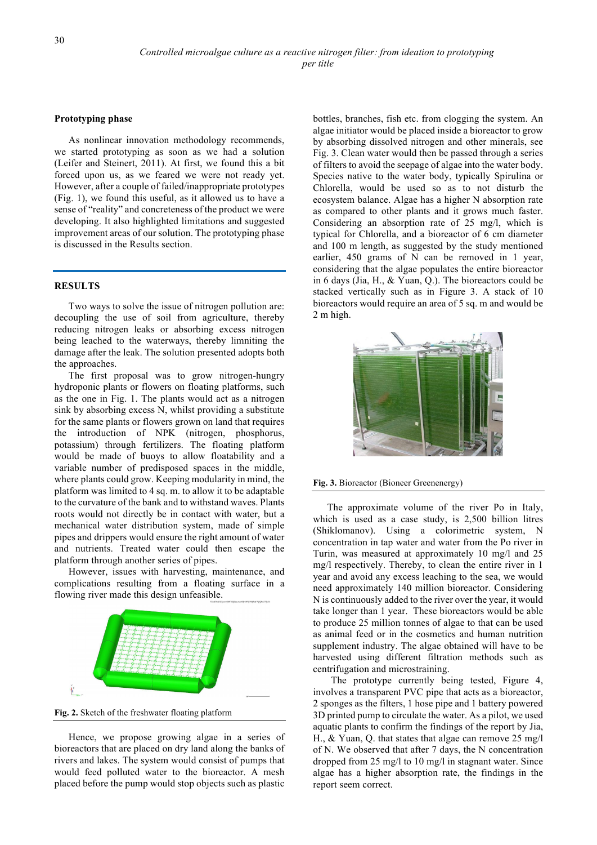#### **Prototyping phase**

As nonlinear innovation methodology recommends, we started prototyping as soon as we had a solution (Leifer and Steinert, 2011). At first, we found this a bit forced upon us, as we feared we were not ready yet. However, after a couple of failed/inappropriate prototypes (Fig. 1), we found this useful, as it allowed us to have a sense of "reality" and concreteness of the product we were developing. It also highlighted limitations and suggested improvement areas of our solution. The prototyping phase is discussed in the Results section.

#### **RESULTS**

Two ways to solve the issue of nitrogen pollution are: decoupling the use of soil from agriculture, thereby reducing nitrogen leaks or absorbing excess nitrogen being leached to the waterways, thereby limniting the damage after the leak. The solution presented adopts both the approaches.

The first proposal was to grow nitrogen-hungry hydroponic plants or flowers on floating platforms, such as the one in Fig. 1. The plants would act as a nitrogen sink by absorbing excess N, whilst providing a substitute for the same plants or flowers grown on land that requires the introduction of NPK (nitrogen, phosphorus, potassium) through fertilizers. The floating platform would be made of buoys to allow floatability and a variable number of predisposed spaces in the middle, where plants could grow. Keeping modularity in mind, the platform was limited to 4 sq. m. to allow it to be adaptable to the curvature of the bank and to withstand waves. Plants roots would not directly be in contact with water, but a mechanical water distribution system, made of simple pipes and drippers would ensure the right amount of water and nutrients. Treated water could then escape the platform through another series of pipes.

However, issues with harvesting, maintenance, and complications resulting from a floating surface in a flowing river made this design unfeasible.



**Fig. 2.** Sketch of the freshwater floating platform

Hence, we propose growing algae in a series of bioreactors that are placed on dry land along the banks of rivers and lakes. The system would consist of pumps that would feed polluted water to the bioreactor. A mesh placed before the pump would stop objects such as plastic bottles, branches, fish etc. from clogging the system. An algae initiator would be placed inside a bioreactor to grow by absorbing dissolved nitrogen and other minerals, see Fig. 3. Clean water would then be passed through a series of filters to avoid the seepage of algae into the water body. Species native to the water body, typically Spirulina or Chlorella, would be used so as to not disturb the ecosystem balance. Algae has a higher N absorption rate as compared to other plants and it grows much faster. Considering an absorption rate of 25 mg/l, which is typical for Chlorella, and a bioreactor of 6 cm diameter and 100 m length, as suggested by the study mentioned earlier, 450 grams of N can be removed in 1 year, considering that the algae populates the entire bioreactor in 6 days (Jia, H., & Yuan, Q.). The bioreactors could be stacked vertically such as in Figure 3. A stack of 10 bioreactors would require an area of 5 sq. m and would be 2 m high.



**Fig. 3.** Bioreactor (Bioneer Greenenergy)

The approximate volume of the river Po in Italy, which is used as a case study, is 2,500 billion litres (Shiklomanov). Using a colorimetric system, N concentration in tap water and water from the Po river in Turin, was measured at approximately 10 mg/l and 25 mg/l respectively. Thereby, to clean the entire river in 1 year and avoid any excess leaching to the sea, we would need approximately 140 million bioreactor. Considering N is continuously added to the river over the year, it would take longer than 1 year. These bioreactors would be able to produce 25 million tonnes of algae to that can be used as animal feed or in the cosmetics and human nutrition supplement industry. The algae obtained will have to be harvested using different filtration methods such as centrifugation and microstraining.

The prototype currently being tested, Figure 4, involves a transparent PVC pipe that acts as a bioreactor, 2 sponges as the filters, 1 hose pipe and 1 battery powered 3D printed pump to circulate the water. As a pilot, we used aquatic plants to confirm the findings of the report by Jia, H., & Yuan, Q. that states that algae can remove 25 mg/l of N. We observed that after 7 days, the N concentration dropped from 25 mg/l to 10 mg/l in stagnant water. Since algae has a higher absorption rate, the findings in the report seem correct.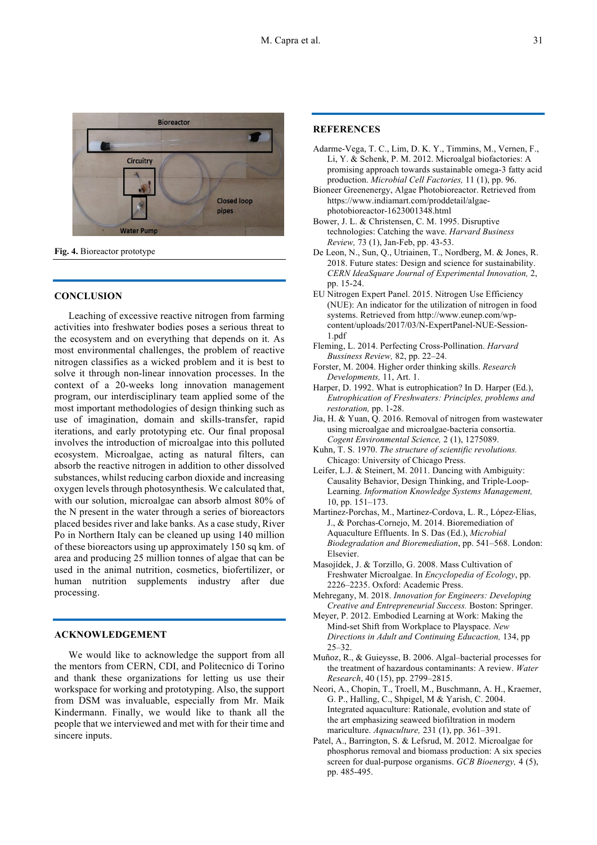



**Fig. 4.** Bioreactor prototype

#### **CONCLUSION**

Leaching of excessive reactive nitrogen from farming activities into freshwater bodies poses a serious threat to the ecosystem and on everything that depends on it. As most environmental challenges, the problem of reactive nitrogen classifies as a wicked problem and it is best to solve it through non-linear innovation processes. In the context of a 20-weeks long innovation management program, our interdisciplinary team applied some of the most important methodologies of design thinking such as use of imagination, domain and skills-transfer, rapid iterations, and early prototyping etc. Our final proposal involves the introduction of microalgae into this polluted ecosystem. Microalgae, acting as natural filters, can absorb the reactive nitrogen in addition to other dissolved substances, whilst reducing carbon dioxide and increasing oxygen levels through photosynthesis. We calculated that, with our solution, microalgae can absorb almost 80% of the N present in the water through a series of bioreactors placed besides river and lake banks. As a case study, River Po in Northern Italy can be cleaned up using 140 million of these bioreactors using up approximately 150 sq km. of area and producing 25 million tonnes of algae that can be used in the animal nutrition, cosmetics, biofertilizer, or human nutrition supplements industry after due processing.

## **ACKNOWLEDGEMENT**

We would like to acknowledge the support from all the mentors from CERN, CDI, and Politecnico di Torino and thank these organizations for letting us use their workspace for working and prototyping. Also, the support from DSM was invaluable, especially from Mr. Maik Kindermann. Finally, we would like to thank all the people that we interviewed and met with for their time and sincere inputs.

## **REFERENCES**

- Adarme-Vega, T. C., Lim, D. K. Y., Timmins, M., Vernen, F., Li, Y. & Schenk, P. M. 2012. Microalgal biofactories: A promising approach towards sustainable omega-3 fatty acid production. *Microbial Cell Factories,* 11 (1), pp. 96.
- Bioneer Greenenergy, Algae Photobioreactor. Retrieved from https://www.indiamart.com/proddetail/algaephotobioreactor-1623001348.html
- Bower, J. L. & Christensen, C. M. 1995. Disruptive technologies: Catching the wave. *Harvard Business Review,* 73 (1), Jan-Feb, pp. 43-53.
- De Leon, N., Sun, Q., Utriainen, T., Nordberg, M. & Jones, R. 2018. Future states: Design and science for sustainability. *CERN IdeaSquare Journal of Experimental Innovation,* 2, pp. 15-24.
- EU Nitrogen Expert Panel. 2015. Nitrogen Use Efficiency (NUE): An indicator for the utilization of nitrogen in food systems. Retrieved from http://www.eunep.com/wpcontent/uploads/2017/03/N-ExpertPanel-NUE-Session-1.pdf
- Fleming, L. 2014. Perfecting Cross-Pollination. *Harvard Bussiness Review,* 82, pp. 22–24.
- Forster, M. 2004. Higher order thinking skills. *Research Developments,* 11, Art. 1.
- Harper, D. 1992. What is eutrophication? In D. Harper (Ed.), *Eutrophication of Freshwaters: Principles, problems and restoration,* pp. 1-28.
- Jia, H. & Yuan, Q. 2016. Removal of nitrogen from wastewater using microalgae and microalgae-bacteria consortia. *Cogent Environmental Science,* 2 (1), 1275089.
- Kuhn, T. S. 1970. *The structure of scientific revolutions.* Chicago: University of Chicago Press.
- Leifer, L.J. & Steinert, M. 2011. Dancing with Ambiguity: Causality Behavior, Design Thinking, and Triple-Loop-Learning. *Information Knowledge Systems Management,* 10, pp. 151–173.
- Martinez-Porchas, M., Martinez-Cordova, L. R., López-Elías, J., & Porchas-Cornejo, M. 2014. Bioremediation of Aquaculture Effluents. In S. Das (Ed.), *Microbial Biodegradation and Bioremediation*, pp. 541–568. London: Elsevier.
- Masojídek, J. & Torzillo, G. 2008. Mass Cultivation of Freshwater Microalgae. In *Encyclopedia of Ecology*, pp. 2226–2235. Oxford: Academic Press.
- Mehregany, M. 2018. *Innovation for Engineers: Developing Creative and Entrepreneurial Success.* Boston: Springer.
- Meyer, P. 2012. Embodied Learning at Work: Making the Mind-set Shift from Workplace to Playspace. *New Directions in Adult and Continuing Educaction,* 134, pp 25–32.
- Muñoz, R., & Guieysse, B. 2006. Algal–bacterial processes for the treatment of hazardous contaminants: A review. *Water Research*, 40 (15), pp. 2799–2815.
- Neori, A., Chopin, T., Troell, M., Buschmann, A. H., Kraemer, G. P., Halling, C., Shpigel, M & Yarish, C. 2004. Integrated aquaculture: Rationale, evolution and state of the art emphasizing seaweed biofiltration in modern mariculture. *Aquaculture,* 231 (1), pp. 361–391.
- Patel, A., Barrington, S. & Lefsrud, M. 2012. Microalgae for phosphorus removal and biomass production: A six species screen for dual-purpose organisms. *GCB Bioenergy,* 4 (5), pp. 485-495.